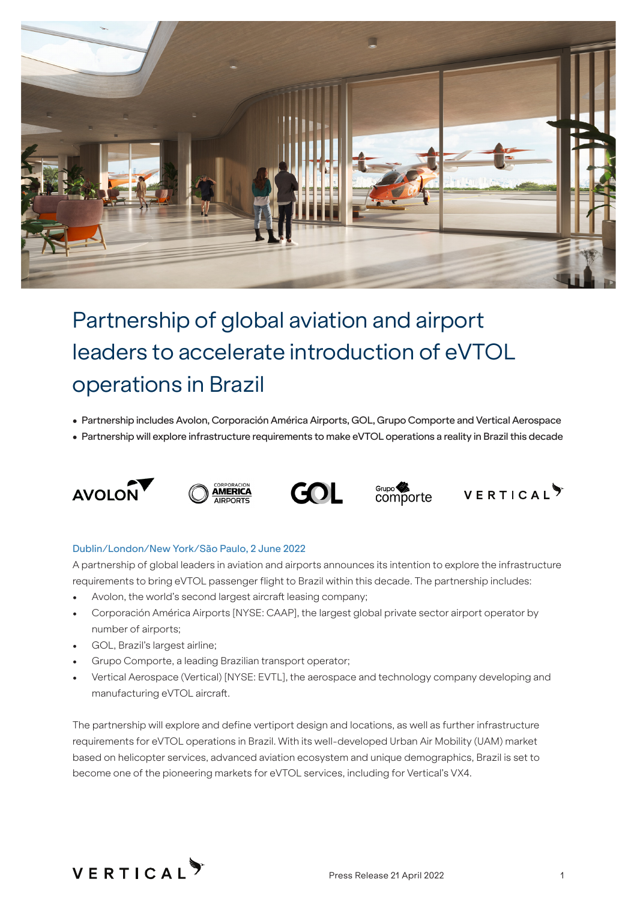

# Partnership of global aviation and airport leaders to accelerate introduction of eVTOL operations in Brazil

- Partnership includes Avolon, Corporación América Airports, GOL, Grupo Comporte and Vertical Aerospace
- Partnership will explore infrastructure requirements to make eVTOL operations a reality in Brazil this decade











## Dublin/London/New York/São Paulo, 2 June 2022

A partnership of global leaders in aviation and airports announces its intention to explore the infrastructure requirements to bring eVTOL passenger flight to Brazil within this decade. The partnership includes:

- Avolon, the world's second largest aircraft leasing company;
- Corporación América Airports [NYSE: CAAP], the largest global private sector airport operator by number of airports;
- GOL, Brazil's largest airline;
- Grupo Comporte, a leading Brazilian transport operator;
- Vertical Aerospace (Vertical) [NYSE: EVTL], the aerospace and technology company developing and manufacturing eVTOL aircraft.

The partnership will explore and define vertiport design and locations, as well as further infrastructure requirements for eVTOL operations in Brazil. With its well-developed Urban Air Mobility (UAM) market based on helicopter services, advanced aviation ecosystem and unique demographics, Brazil is set to become one of the pioneering markets for eVTOL services, including for Vertical's VX4.

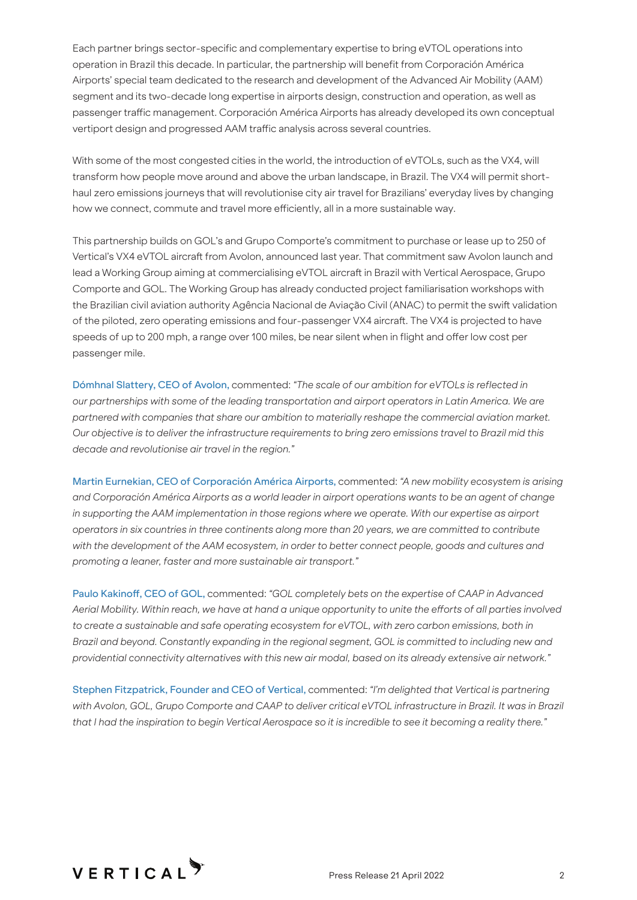Each partner brings sector-specific and complementary expertise to bring eVTOL operations into operation in Brazil this decade. In particular, the partnership will benefit from Corporación América Airports' special team dedicated to the research and development of the Advanced Air Mobility (AAM) segment and its two-decade long expertise in airports design, construction and operation, as well as passenger traffic management. Corporación América Airports has already developed its own conceptual vertiport design and progressed AAM traffic analysis across several countries.

With some of the most congested cities in the world, the introduction of eVTOLs, such as the VX4, will transform how people move around and above the urban landscape, in Brazil. The VX4 will permit shorthaul zero emissions journeys that will revolutionise city air travel for Brazilians' everyday lives by changing how we connect, commute and travel more efficiently, all in a more sustainable way.

This partnership builds on GOL's and Grupo Comporte's commitment to purchase or lease up to 250 of Vertical's VX4 eVTOL aircraft from Avolon, announced last year. That commitment saw Avolon launch and lead a Working Group aiming at commercialising eVTOL aircraft in Brazil with Vertical Aerospace, Grupo Comporte and GOL. The Working Group has already conducted project familiarisation workshops with the Brazilian civil aviation authority Agência Nacional de Aviação Civil (ANAC) to permit the swift validation of the piloted, zero operating emissions and four-passenger VX4 aircraft. The VX4 is projected to have speeds of up to 200 mph, a range over 100 miles, be near silent when in flight and offer low cost per passenger mile.

Dómhnal Slattery, CEO of Avolon, commented: *"The scale of our ambition for eVTOLs is reflected in our partnerships with some of the leading transportation and airport operators in Latin America. We are partnered with companies that share our ambition to materially reshape the commercial aviation market. Our objective is to deliver the infrastructure requirements to bring zero emissions travel to Brazil mid this decade and revolutionise air travel in the region."*

Martin Eurnekian, CEO of Corporación América Airports, commented: *"A new mobility ecosystem is arising and Corporación América Airports as a world leader in airport operations wants to be an agent of change in supporting the AAM implementation in those regions where we operate. With our expertise as airport operators in six countries in three continents along more than 20 years, we are committed to contribute*  with the development of the AAM ecosystem, in order to better connect people, goods and cultures and *promoting a leaner, faster and more sustainable air transport."*

Paulo Kakinoff, CEO of GOL, commented: *"GOL completely bets on the expertise of CAAP in Advanced Aerial Mobility. Within reach, we have at hand a unique opportunity to unite the efforts of all parties involved to create a sustainable and safe operating ecosystem for eVTOL, with zero carbon emissions, both in Brazil and beyond. Constantly expanding in the regional segment, GOL is committed to including new and providential connectivity alternatives with this new air modal, based on its already extensive air network."*

Stephen Fitzpatrick, Founder and CEO of Vertical, commented: *"I'm delighted that Vertical is partnering*  with Avolon, GOL, Grupo Comporte and CAAP to deliver critical eVTOL infrastructure in Brazil. It was in Brazil *that I had the inspiration to begin Vertical Aerospace so it is incredible to see it becoming a reality there."*

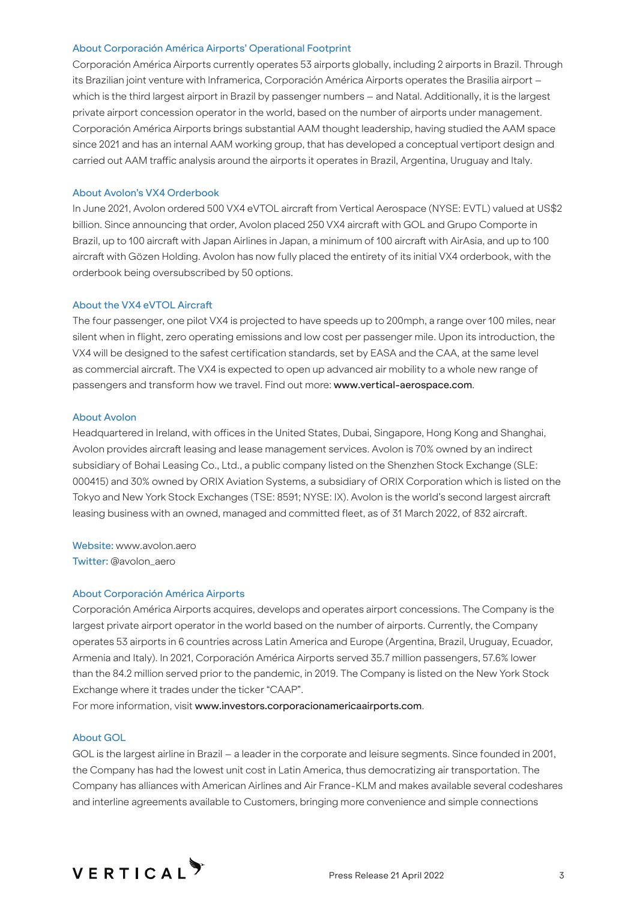## About Corporación América Airports' Operational Footprint

Corporación América Airports currently operates 53 airports globally, including 2 airports in Brazil. Through its Brazilian joint venture with Inframerica, Corporación América Airports operates the Brasilia airport – which is the third largest airport in Brazil by passenger numbers – and Natal. Additionally, it is the largest private airport concession operator in the world, based on the number of airports under management. Corporación América Airports brings substantial AAM thought leadership, having studied the AAM space since 2021 and has an internal AAM working group, that has developed a conceptual vertiport design and carried out AAM traffic analysis around the airports it operates in Brazil, Argentina, Uruguay and Italy.

# About Avolon's VX4 Orderbook

In June 2021, Avolon ordered 500 VX4 eVTOL aircraft from Vertical Aerospace (NYSE: EVTL) valued at US\$2 billion. Since announcing that order, Avolon placed 250 VX4 aircraft with GOL and Grupo Comporte in Brazil, up to 100 aircraft with Japan Airlines in Japan, a minimum of 100 aircraft with AirAsia, and up to 100 aircraft with Gözen Holding. Avolon has now fully placed the entirety of its initial VX4 orderbook, with the orderbook being oversubscribed by 50 options.

## About the VX4 eVTOL Aircraft

The four passenger, one pilot VX4 is projected to have speeds up to 200mph, a range over 100 miles, near silent when in flight, zero operating emissions and low cost per passenger mile. Upon its introduction, the VX4 will be designed to the safest certification standards, set by EASA and the CAA, at the same level as commercial aircraft. The VX4 is expected to open up advanced air mobility to a whole new range of passengers and transform how we travel. Find out more: www.vertical-aerospace.com.

## About Avolon

Headquartered in Ireland, with offices in the United States, Dubai, Singapore, Hong Kong and Shanghai, Avolon provides aircraft leasing and lease management services. Avolon is 70% owned by an indirect subsidiary of Bohai Leasing Co., Ltd., a public company listed on the Shenzhen Stock Exchange (SLE: 000415) and 30% owned by ORIX Aviation Systems, a subsidiary of ORIX Corporation which is listed on the Tokyo and New York Stock Exchanges (TSE: 8591; NYSE: IX). Avolon is the world's second largest aircraft leasing business with an owned, managed and committed fleet, as of 31 March 2022, of 832 aircraft.

Website: www.avolon.aero Twitter: @avolon\_aero

# About Corporación América Airports

Corporación América Airports acquires, develops and operates airport concessions. The Company is the largest private airport operator in the world based on the number of airports. Currently, the Company operates 53 airports in 6 countries across Latin America and Europe (Argentina, Brazil, Uruguay, Ecuador, Armenia and Italy). In 2021, Corporación América Airports served 35.7 million passengers, 57.6% lower than the 84.2 million served prior to the pandemic, in 2019. The Company is listed on the New York Stock Exchange where it trades under the ticker "CAAP".

For more information, visit www.investors.corporacionamericaairports.com.

# About GOL

GOL is the largest airline in Brazil – a leader in the corporate and leisure segments. Since founded in 2001, the Company has had the lowest unit cost in Latin America, thus democratizing air transportation. The Company has alliances with American Airlines and Air France-KLM and makes available several codeshares and interline agreements available to Customers, bringing more convenience and simple connections

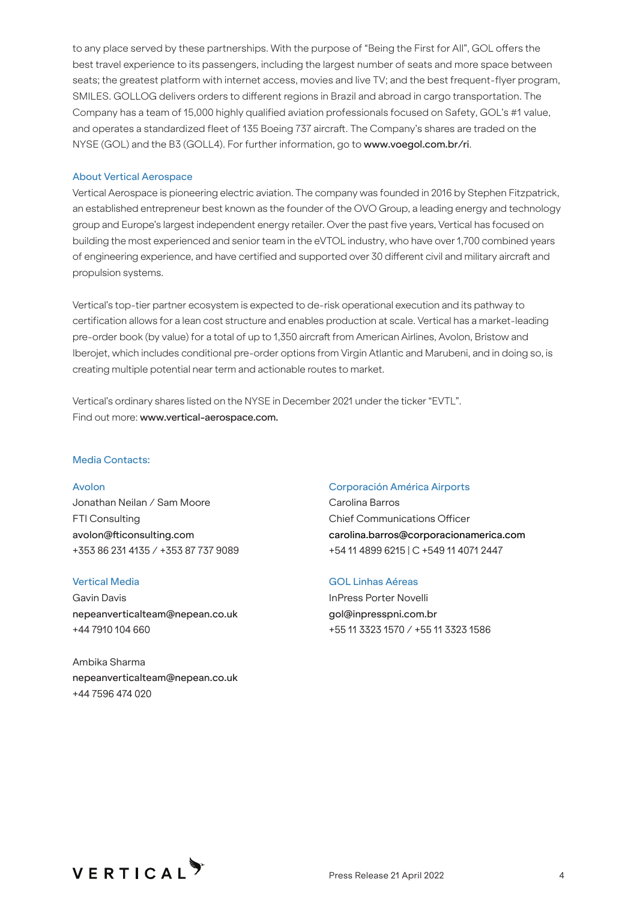to any place served by these partnerships. With the purpose of "Being the First for All", GOL offers the best travel experience to its passengers, including the largest number of seats and more space between seats; the greatest platform with internet access, movies and live TV; and the best frequent-flyer program, SMILES. GOLLOG delivers orders to different regions in Brazil and abroad in cargo transportation. The Company has a team of 15,000 highly qualified aviation professionals focused on Safety, GOL's #1 value, and operates a standardized fleet of 135 Boeing 737 aircraft. The Company's shares are traded on the NYSE (GOL) and the B3 (GOLL4). For further information, go to www.voegol.com.br/ri.

#### About Vertical Aerospace

Vertical Aerospace is pioneering electric aviation. The company was founded in 2016 by Stephen Fitzpatrick, an established entrepreneur best known as the founder of the OVO Group, a leading energy and technology group and Europe's largest independent energy retailer. Over the past five years, Vertical has focused on building the most experienced and senior team in the eVTOL industry, who have over 1,700 combined years of engineering experience, and have certified and supported over 30 different civil and military aircraft and propulsion systems.

Vertical's top-tier partner ecosystem is expected to de-risk operational execution and its pathway to certification allows for a lean cost structure and enables production at scale. Vertical has a market-leading pre-order book (by value) for a total of up to 1,350 aircraft from American Airlines, Avolon, Bristow and Iberojet, which includes conditional pre-order options from Virgin Atlantic and Marubeni, and in doing so, is creating multiple potential near term and actionable routes to market.

Vertical's ordinary shares listed on the NYSE in December 2021 under the ticker "EVTL". Find out more: www.vertical-aerospace.com.

#### Media Contacts:

Avolon Jonathan Neilan / Sam Moore FTI Consulting avolon@fticonsulting.com +353 86 231 4135 / +353 87 737 9089

# Vertical Media

Gavin Davis nepeanverticalteam@nepean.co.uk +44 7910 104 660

Ambika Sharma nepeanverticalteam@nepean.co.uk +44 7596 474 020

#### Corporación América Airports

Carolina Barros Chief Communications Officer carolina.barros@corporacionamerica.com +54 11 4899 6215 | C +549 11 4071 2447

# GOL Linhas Aéreas

InPress Porter Novelli gol@inpresspni.com.br +55 11 3323 1570 / +55 11 3323 1586